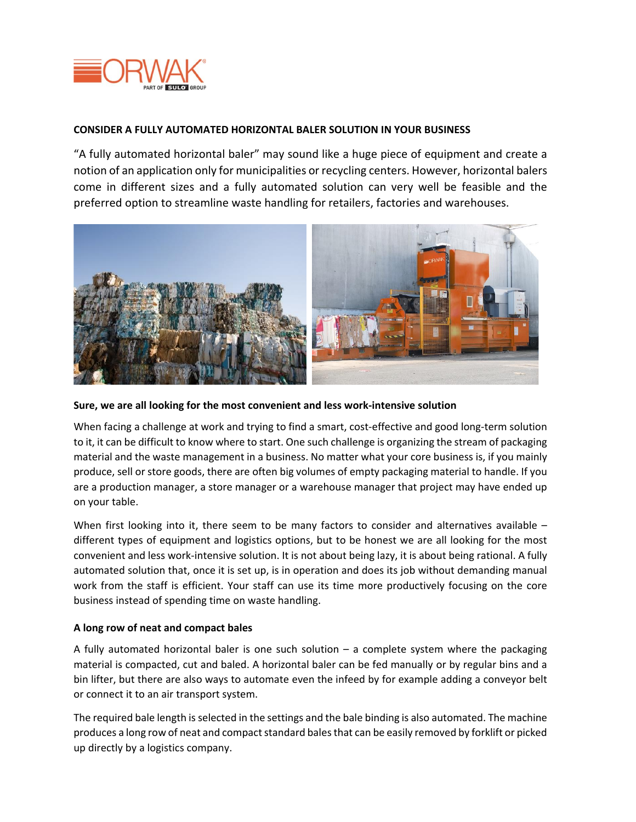

## **CONSIDER A FULLY AUTOMATED HORIZONTAL BALER SOLUTION IN YOUR BUSINESS**

"A fully automated horizontal baler" may sound like a huge piece of equipment and create a notion of an application only for municipalities or recycling centers. However, horizontal balers come in different sizes and a fully automated solution can very well be feasible and the preferred option to streamline waste handling for retailers, factories and warehouses.



## **Sure, we are all looking for the most convenient and less work-intensive solution**

When facing a challenge at work and trying to find a smart, cost-effective and good long-term solution to it, it can be difficult to know where to start. One such challenge is organizing the stream of packaging material and the waste management in a business. No matter what your core business is, if you mainly produce, sell or store goods, there are often big volumes of empty packaging material to handle. If you are a production manager, a store manager or a warehouse manager that project may have ended up on your table.

When first looking into it, there seem to be many factors to consider and alternatives available different types of equipment and logistics options, but to be honest we are all looking for the most convenient and less work-intensive solution. It is not about being lazy, it is about being rational. A fully automated solution that, once it is set up, is in operation and does its job without demanding manual work from the staff is efficient. Your staff can use its time more productively focusing on the core business instead of spending time on waste handling.

## **A long row of neat and compact bales**

A fully automated horizontal baler is one such solution – a complete system where the packaging material is compacted, cut and baled. A horizontal baler can be fed manually or by regular bins and a bin lifter, but there are also ways to automate even the infeed by for example adding a conveyor belt or connect it to an air transport system.

The required bale length is selected in the settings and the bale binding is also automated. The machine produces a long row of neat and compact standard bales that can be easily removed by forklift or picked up directly by a logistics company.